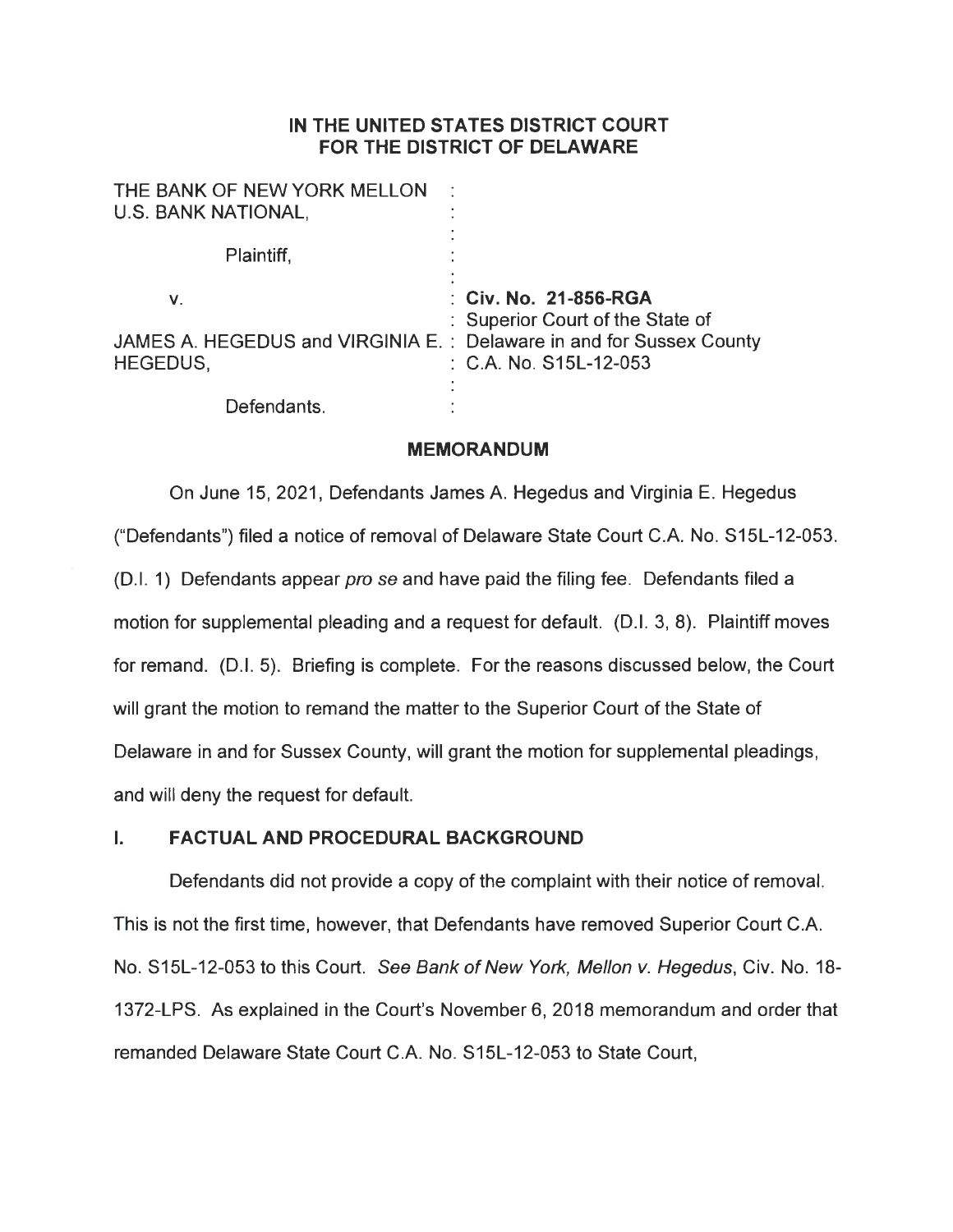## **IN THE UNITED STATES DISTRICT COURT FOR THE DISTRICT OF DELAWARE**

| THE BANK OF NEW YORK MELLON<br>U.S. BANK NATIONAL,                                            | ٠                                                                                              |
|-----------------------------------------------------------------------------------------------|------------------------------------------------------------------------------------------------|
| Plaintiff,                                                                                    |                                                                                                |
| V.<br>JAMES A. HEGEDUS and VIRGINIA E. : Delaware in and for Sussex County<br><b>HEGEDUS,</b> | : Civ. No. 21-856-RGA<br>: Superior Court of the State of<br>$\therefore$ C.A. No. S15L-12-053 |
| Defendants.                                                                                   |                                                                                                |

#### **MEMORANDUM**

On June 15, 2021, Defendants James A. Hegedus and Virginia E. Hegedus ("Defendants") filed a notice of removal of Delaware State Court C.A. No. S15L-12-053. (D.I. 1) Defendants appear *pro se* and have paid the filing fee. Defendants filed a motion for supplemental pleading and a request for default. (D.I. 3, 8). Plaintiff moves for remand. (D.I. 5). Briefing is complete. For the reasons discussed below, the Court will grant the motion to remand the matter to the Superior Court of the State of Delaware in and for Sussex County, will grant the motion for supplemental pleadings, and will deny the request for default.

### I. **FACTUAL AND PROCEDURAL BACKGROUND**

Defendants did not provide a copy of the complaint with their notice of removal. This is not the first time, however, that Defendants have removed Superior Court C.A. No. S15L-12-053 to this Court. See Bank of New York, Mellon v. Hegedus, Civ. No. 18- 1372-LPS. As explained in the Court's November 6, 2018 memorandum and order that remanded Delaware State Court C.A. No. S15L-12-053 to State Court,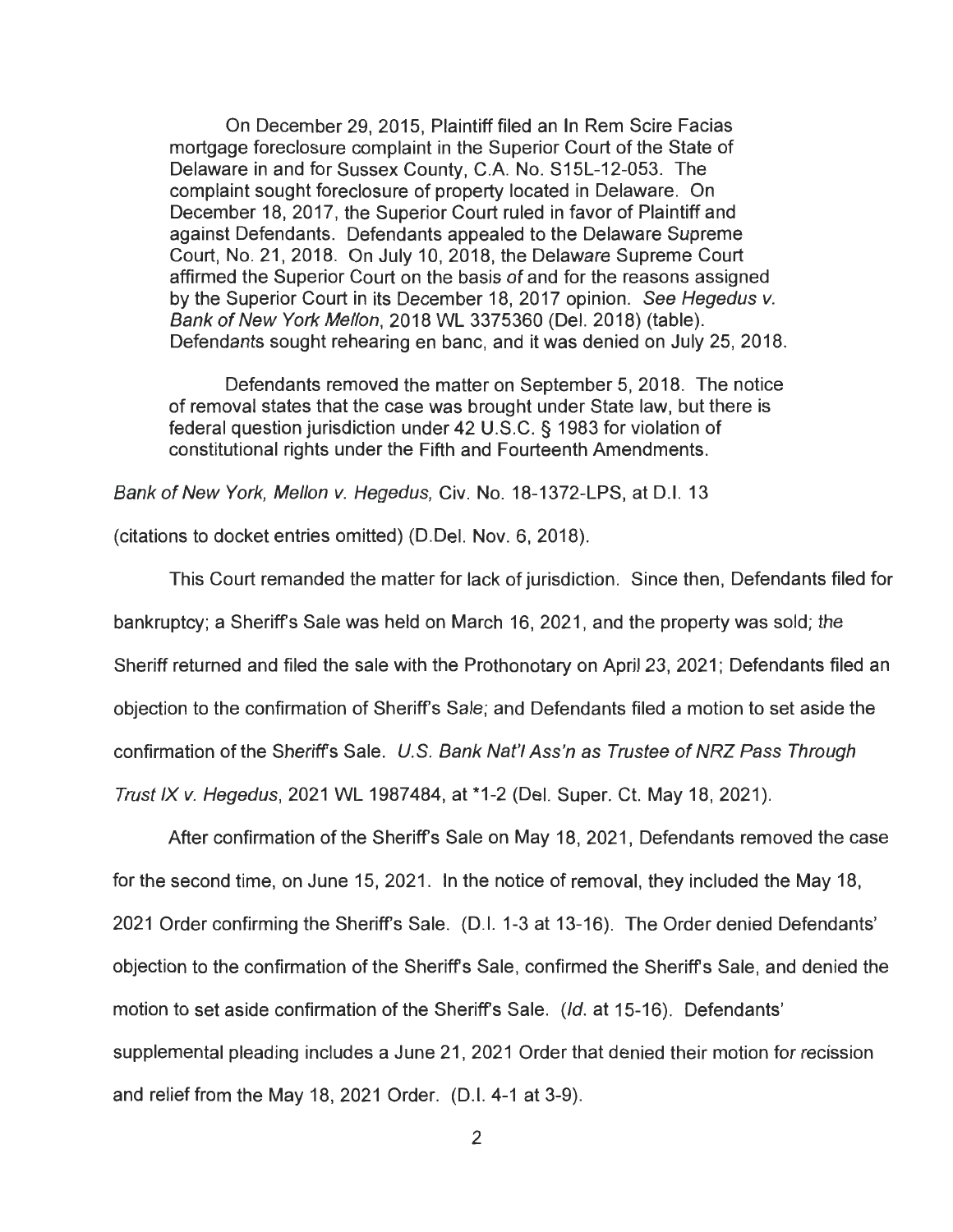On December 29, 2015, Plaintiff filed an In Rem Scire Facias mortgage foreclosure complaint in the Superior Court of the State of Delaware in and for Sussex County, C.A. No. S15L-12-053. The complaint sought foreclosure of property located in Delaware. On December 18, 2017, the Superior Court ruled in favor of Plaintiff and against Defendants. Defendants appealed to the Delaware Supreme Court, No. 21, 2018. On July 10, 2018, the Delaware Supreme Court affirmed the Superior Court on the basis of and for the reasons assigned by the Superior Court in its December 18, 2017 opinion. See Hegedus v. Bank of New York Mellon, 2018 WL 3375360 (Del. 2018) (table). Defendants sought rehearing en bane, and it was denied on July 25, 2018.

Defendants removed the matter on September 5, 2018. The notice of removal states that the case was brought under State law, but there is federal question jurisdiction under 42 U.S.C. § 1983 for violation of constitutional rights under the Fifth and Fourteenth Amendments.

Bank of New York, Mellon v. Hegedus, Civ. No. 18-1372-LPS, at D.I. 13

(citations to docket entries omitted) (0.Del. Nov. 6, 2018).

This Court remanded the matter for lack of jurisdiction. Since then, Defendants filed for bankruptcy; a Sheriff's Sale was held on March 16, 2021, and the property was sold; the Sheriff returned and filed the sale with the Prothonotary on April 23, 2021; Defendants filed an objection to the confirmation of Sheriffs Sale; and Defendants filed a motion to set aside the confirmation of the Sheriffs Sale. U.S. Bank Nat'/ Ass'n as Trustee of NRZ Pass Through Trust IX v. Hegedus, 2021 WL 1987484, at \*1-2 (Del. Super. Ct. May 18, 2021).

After confirmation of the Sheriffs Sale on May 18, 2021 , Defendants removed the case for the second time, on June 15, 2021. In the notice of removal, they included the May 18, 2021 Order confirming the Sheriff's Sale. (D.I. 1-3 at 13-16). The Order denied Defendants' objection to the confirmation of the Sheriffs Sale, confirmed the Sheriffs Sale, and denied the motion to set aside confirmation of the Sheriff's Sale. (Id. at 15-16). Defendants' supplemental pleading includes a June 21, 2021 Order that denied their motion for recission and relief from the May 18, 2021 Order. (0.1. 4-1 at 3-9).

2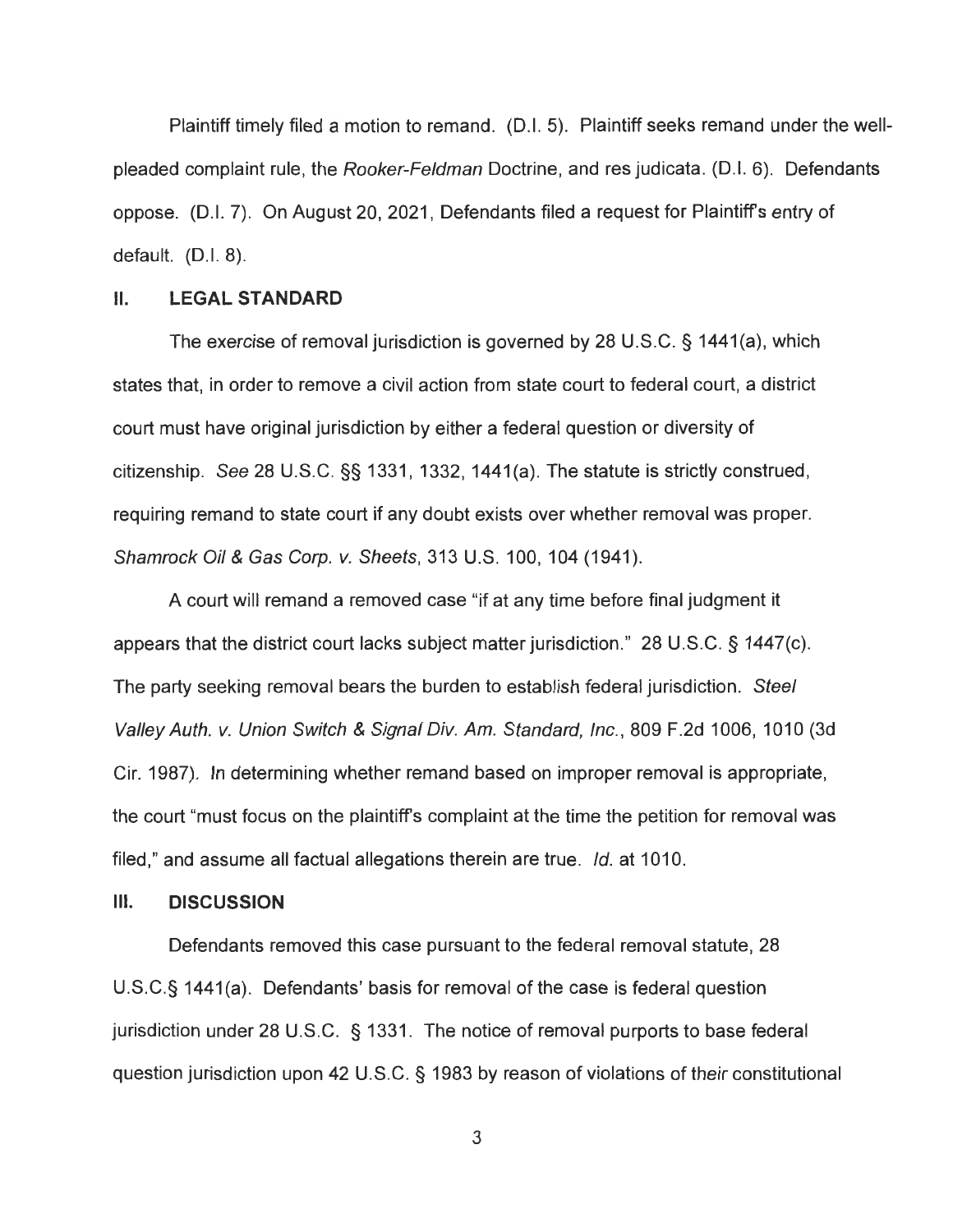Plaintiff timely filed a motion to remand. (D.I. 5). Plaintiff seeks remand under the wellpleaded complaint rule, the Rooker-Feldman Doctrine, and res judicata. (D.I. 6). Defendants oppose. (D.I. 7). On August 20, 2021 , Defendants filed a request for Plaintiffs entry of default.  $(D.I. 8)$ .

#### II. **LEGAL STANDARD**

The exercise of removal jurisdiction is governed by 28 U.S.C. § 1441 (a), which states that, in order to remove a civil action from state court to federal court, a district court must have original jurisdiction by either a federal question or diversity of citizenship. See 28 U.S.C. §§ 1331 , 1332, 1441 (a). The statute is strictly construed , requiring remand to state court if any doubt exists over whether removal was proper. Shamrock Oil & Gas Corp. v. Sheets, 313 U.S. 100, 104 (1941).

A court will remand a removed case "if at any time before final judgment it appears that the district court lacks subject matter jurisdiction." 28 U.S.C. § 1447(c). The party seeking removal bears the burden to establish federal jurisdiction. Steel Valley Auth. v. Union Switch & Signal Div. Am. Standard, Inc., 809 F.2d 1006, 1010 (3d Cir. 1987). In determining whether remand based on improper removal is appropriate, the court "must focus on the plaintiffs complaint at the time the petition for removal was filed," and assume all factual allegations therein are true. Id. at 1010.

#### **Ill. DISCUSSION**

Defendants removed this case pursuant to the federal removal statute, 28 U.S.C.§ 1441(a). Defendants' basis for removal of the case is federal question jurisdiction under 28 U.S.C. § 1331. The notice of removal purports to base federal question jurisdiction upon 42 U.S.C. § 1983 by reason of violations of their constitutional

3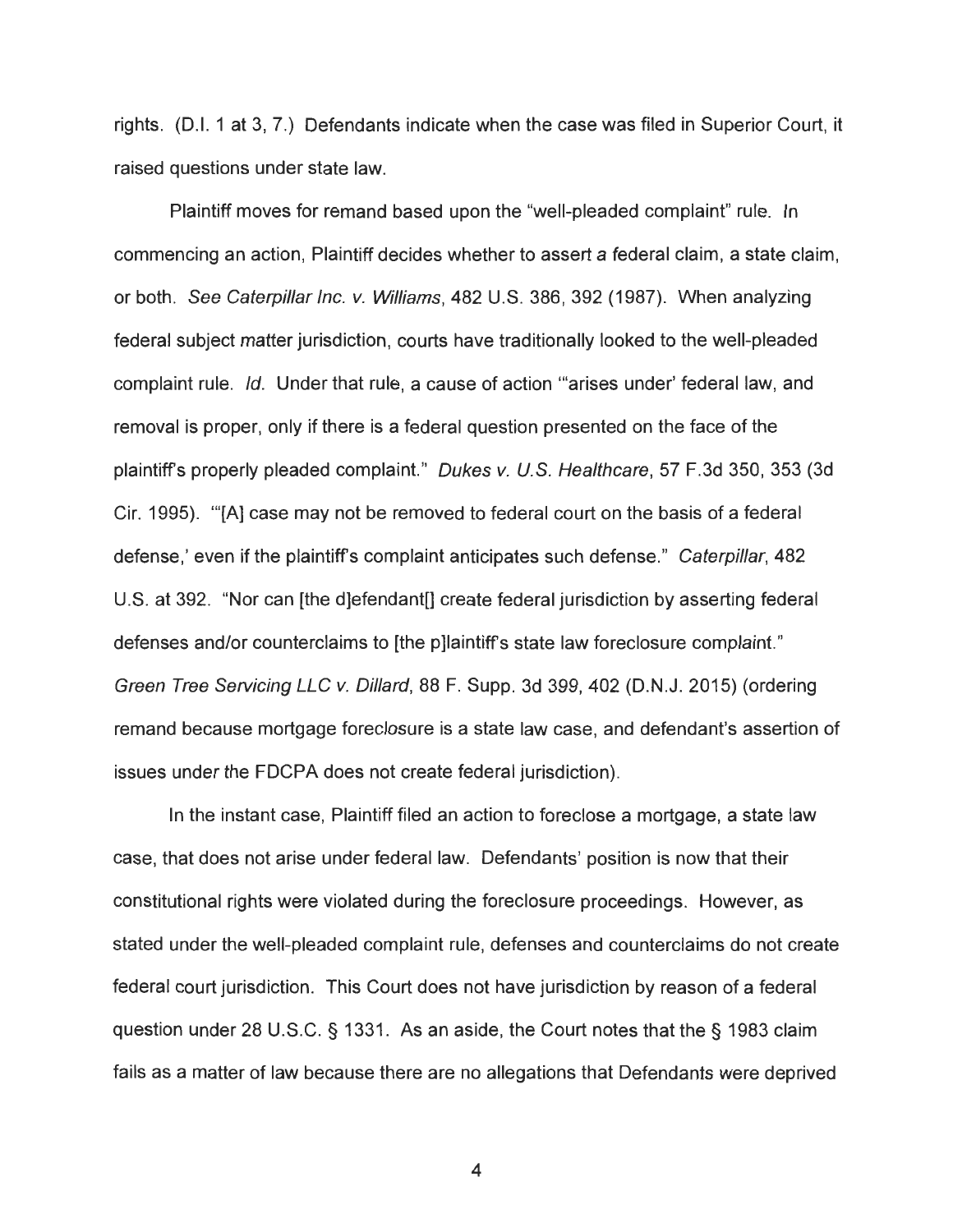rights. (D.I. 1 at 3, 7.) Defendants indicate when the case was filed in Superior Court, it raised questions under state law.

Plaintiff moves for remand based upon the "well-pleaded complaint" rule. In commencing an action, Plaintiff decides whether to assert a federal claim , a state claim , or both. See Caterpillar Inc. v. Williams, 482 U.S. 386, 392 (1987). When analyzing federal subject matter jurisdiction, courts have traditionally looked to the well-pleaded complaint rule. Id. Under that rule, a cause of action "'arises under' federal law, and removal is proper, only if there is a federal question presented on the face of the plaintiff's properly pleaded complaint." Dukes v. U.S. Healthcare, 57 F.3d 350, 353 (3d Cir. 1995). "'[A] case may not be removed to federal court on the basis of a federal defense,' even if the plaintiff's complaint anticipates such defense." Caterpillar, 482 U.S. at 392. "Nor can [the d]efendant[] create federal jurisdiction by asserting federal defenses and/or counterclaims to [the p]laintiff's state law foreclosure complaint." Green Tree Servicing LLC v. Dillard, 88 F. Supp. 3d 399, 402 (D.N.J. 2015) (ordering remand because mortgage foreclosure is a state law case, and defendant's assertion of issues under the FDCPA does not create federal jurisdiction).

In the instant case, Plaintiff filed an action to foreclose a mortgage, a state law case, that does not arise under federal law. Defendants' position is now that their constitutional rights were violated during the foreclosure proceedings. However, as stated under the well-pleaded complaint rule, defenses and counterclaims do not create federal court jurisdiction. This Court does not have jurisdiction by reason of a federal question under 28 U.S.C. § 1331. As an aside, the Court notes that the § 1983 claim fails as a matter of law because there are no allegations that Defendants were deprived

4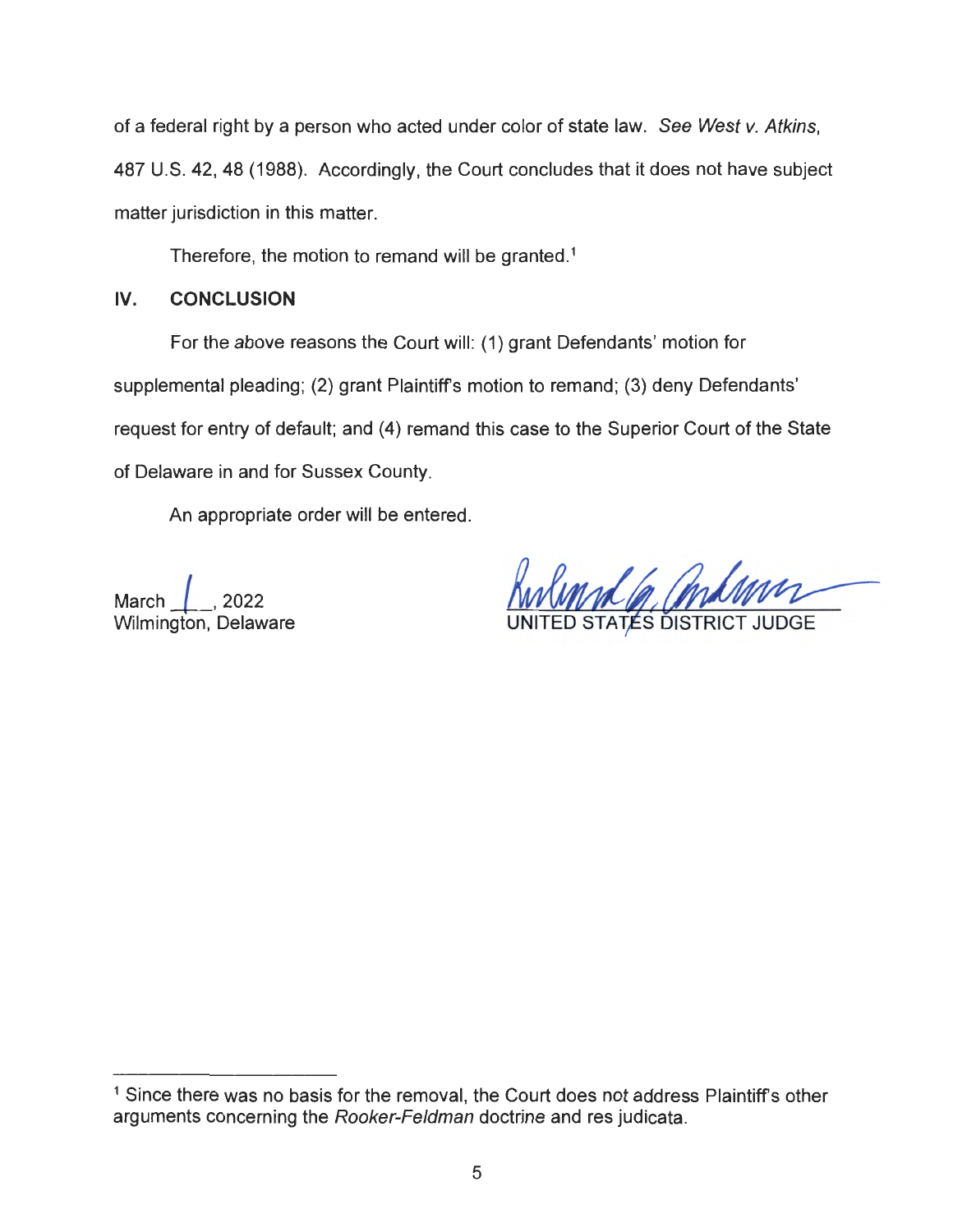of a federal right by a person who acted under color of state law. See West v. Atkins, 487 U.S. 42, 48 (1988). Accordingly, the Court concludes that it does not have subject matter jurisdiction in this matter.

Therefore, the motion to remand will be granted.<sup>1</sup>

# **IV. CONCLUSION**

For the above reasons the Court will: (1) grant Defendants' motion for supplemental pleading; (2) grant Plaintiff's motion to remand; (3) deny Defendants' request for entry of default; and (4) remand this case to the Superior Court of the State of Delaware in and for Sussex County.

An appropriate order will be entered.

March *l\_,* <sup>2022</sup> Wilmington, Delaware

TATÉS DISTRICT JUDGE

<sup>&</sup>lt;sup>1</sup> Since there was no basis for the removal, the Court does not address Plaintiff's other arguments concerning the Rooker-Feldman doctrine and res judicata.